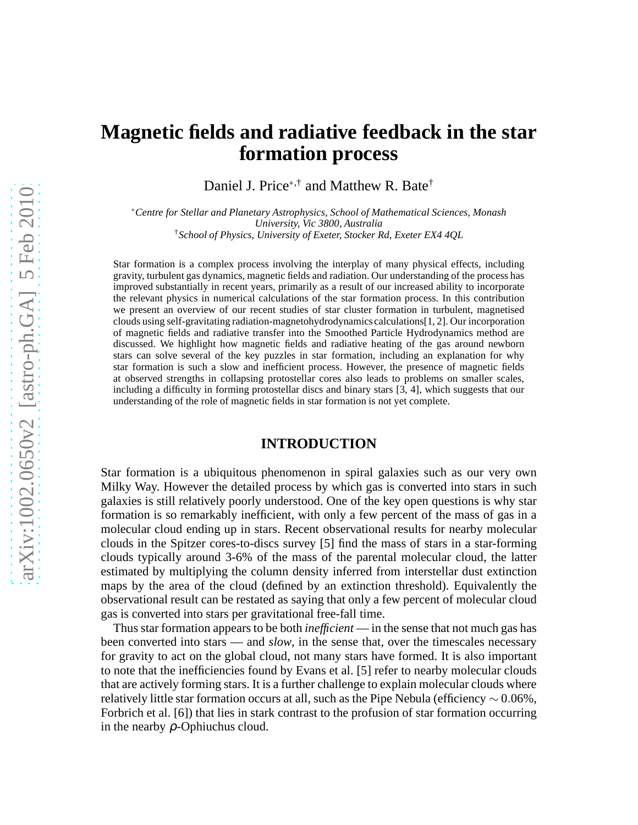# **Magnetic fields and radiative feedback in the star formation process**

Daniel J. Price<sup>∗,†</sup> and Matthew R. Bate<sup>†</sup>

<sup>∗</sup>*Centre for Stellar and Planetary Astrophysics, School of Mathematical Sciences, Monash University, Vic 3800, Australia* †*School of Physics, University of Exeter, Stocker Rd, Exeter EX4 4QL*

Star formation is a complex process involving the interplay of many physical effects, including gravity, turbulent gas dynamics, magnetic fields and radiation. Our understanding of the process has improved substantially in recent years, primarily as a result of our increased ability to incorporate the relevant physics in numerical calculations of the star formation process. In this contribution we present an overview of our recent studies of star cluster formation in turbulent, magnetised clouds using self-gravitating radiation-magnetohydrodynamicscalculations[1, 2]. Our incorporation of magnetic fields and radiative transfer into the Smoothed Particle Hydrodynamics method are discussed. We highlight how magnetic fields and radiative heating of the gas around newborn stars can solve several of the key puzzles in star formation, including an explanation for why star formation is such a slow and inefficient process. However, the presence of magnetic fields at observed strengths in collapsing protostellar cores also leads to problems on smaller scales, including a difficulty in forming protostellar discs and binary stars [3, 4], which suggests that our understanding of the role of magnetic fields in star formation is not yet complete.

### **INTRODUCTION**

Star formation is a ubiquitous phenomenon in spiral galaxies such as our very own Milky Way. However the detailed process by which gas is converted into stars in such galaxies is still relatively poorly understood. One of the key open questions is why star formation is so remarkably inefficient, with only a few percent of the mass of gas in a molecular cloud ending up in stars. Recent observational results for nearby molecular clouds in the Spitzer cores-to-discs survey [5] find the mass of stars in a star-forming clouds typically around 3-6% of the mass of the parental molecular cloud, the latter estimated by multiplying the column density inferred from interstellar dust extinction maps by the area of the cloud (defined by an extinction threshold). Equivalently the observational result can be restated as saying that only a few percent of molecular cloud gas is converted into stars per gravitational free-fall time.

Thus star formation appears to be both *inefficient* — in the sense that not much gas has been converted into stars — and *slow*, in the sense that, over the timescales necessary for gravity to act on the global cloud, not many stars have formed. It is also important to note that the inefficiencies found by Evans et al. [5] refer to nearby molecular clouds that are actively forming stars. It is a further challenge to explain molecular clouds where relatively little star formation occurs at all, such as the Pipe Nebula (efficiency  $\sim 0.06\%$ , Forbrich et al. [6]) that lies in stark contrast to the profusion of star formation occurring in the nearby  $\rho$ -Ophiuchus cloud.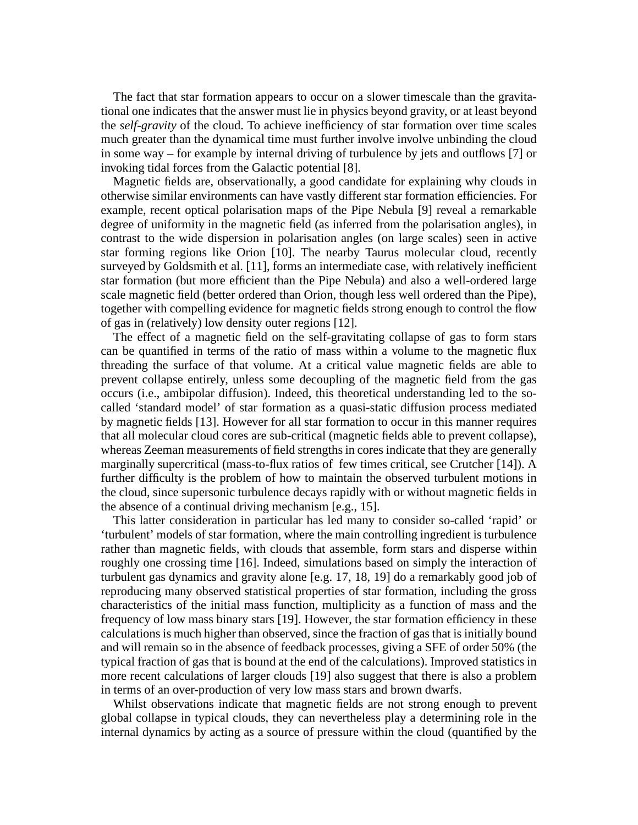The fact that star formation appears to occur on a slower timescale than the gravitational one indicates that the answer must lie in physics beyond gravity, or at least beyond the *self-gravity* of the cloud. To achieve inefficiency of star formation over time scales much greater than the dynamical time must further involve involve unbinding the cloud in some way – for example by internal driving of turbulence by jets and outflows [7] or invoking tidal forces from the Galactic potential [8].

Magnetic fields are, observationally, a good candidate for explaining why clouds in otherwise similar environments can have vastly different star formation efficiencies. For example, recent optical polarisation maps of the Pipe Nebula [9] reveal a remarkable degree of uniformity in the magnetic field (as inferred from the polarisation angles), in contrast to the wide dispersion in polarisation angles (on large scales) seen in active star forming regions like Orion [10]. The nearby Taurus molecular cloud, recently surveyed by Goldsmith et al. [11], forms an intermediate case, with relatively inefficient star formation (but more efficient than the Pipe Nebula) and also a well-ordered large scale magnetic field (better ordered than Orion, though less well ordered than the Pipe), together with compelling evidence for magnetic fields strong enough to control the flow of gas in (relatively) low density outer regions [12].

The effect of a magnetic field on the self-gravitating collapse of gas to form stars can be quantified in terms of the ratio of mass within a volume to the magnetic flux threading the surface of that volume. At a critical value magnetic fields are able to prevent collapse entirely, unless some decoupling of the magnetic field from the gas occurs (i.e., ambipolar diffusion). Indeed, this theoretical understanding led to the socalled 'standard model' of star formation as a quasi-static diffusion process mediated by magnetic fields [13]. However for all star formation to occur in this manner requires that all molecular cloud cores are sub-critical (magnetic fields able to prevent collapse), whereas Zeeman measurements of field strengths in cores indicate that they are generally marginally supercritical (mass-to-flux ratios of few times critical, see Crutcher [14]). A further difficulty is the problem of how to maintain the observed turbulent motions in the cloud, since supersonic turbulence decays rapidly with or without magnetic fields in the absence of a continual driving mechanism [e.g., 15].

This latter consideration in particular has led many to consider so-called 'rapid' or 'turbulent' models of star formation, where the main controlling ingredient is turbulence rather than magnetic fields, with clouds that assemble, form stars and disperse within roughly one crossing time [16]. Indeed, simulations based on simply the interaction of turbulent gas dynamics and gravity alone [e.g. 17, 18, 19] do a remarkably good job of reproducing many observed statistical properties of star formation, including the gross characteristics of the initial mass function, multiplicity as a function of mass and the frequency of low mass binary stars [19]. However, the star formation efficiency in these calculations is much higher than observed, since the fraction of gas that is initially bound and will remain so in the absence of feedback processes, giving a SFE of order 50% (the typical fraction of gas that is bound at the end of the calculations). Improved statistics in more recent calculations of larger clouds [19] also suggest that there is also a problem in terms of an over-production of very low mass stars and brown dwarfs.

Whilst observations indicate that magnetic fields are not strong enough to prevent global collapse in typical clouds, they can nevertheless play a determining role in the internal dynamics by acting as a source of pressure within the cloud (quantified by the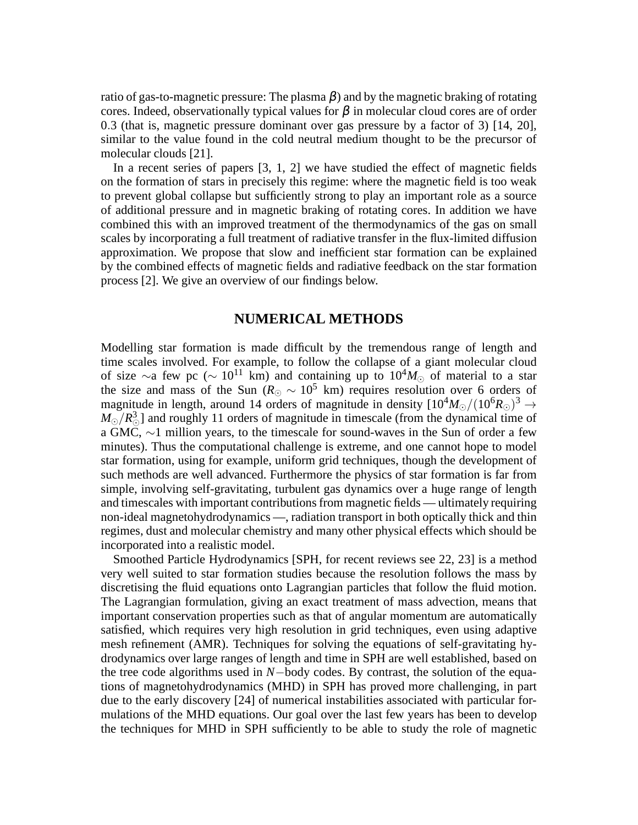ratio of gas-to-magnetic pressure: The plasma  $\beta$ ) and by the magnetic braking of rotating cores. Indeed, observationally typical values for  $\beta$  in molecular cloud cores are of order 0.3 (that is, magnetic pressure dominant over gas pressure by a factor of 3) [14, 20], similar to the value found in the cold neutral medium thought to be the precursor of molecular clouds [21].

In a recent series of papers [3, 1, 2] we have studied the effect of magnetic fields on the formation of stars in precisely this regime: where the magnetic field is too weak to prevent global collapse but sufficiently strong to play an important role as a source of additional pressure and in magnetic braking of rotating cores. In addition we have combined this with an improved treatment of the thermodynamics of the gas on small scales by incorporating a full treatment of radiative transfer in the flux-limited diffusion approximation. We propose that slow and inefficient star formation can be explained by the combined effects of magnetic fields and radiative feedback on the star formation process [2]. We give an overview of our findings below.

#### **NUMERICAL METHODS**

Modelling star formation is made difficult by the tremendous range of length and time scales involved. For example, to follow the collapse of a giant molecular cloud of size ∼a few pc ( $\sim 10^{11}$  km) and containing up to  $10^4 M_{\odot}$  of material to a star the size and mass of the Sun ( $R_{\odot} \sim 10^5$  km) requires resolution over 6 orders of magnitude in length, around 14 orders of magnitude in density  $[10^4 M_{\odot}/(10^6 R_{\odot})^3 \rightarrow$  $M_{\odot}/R_{\odot}^{3}$ ] and roughly 11 orders of magnitude in timescale (from the dynamical time of a GMC, ∼1 million years, to the timescale for sound-waves in the Sun of order a few minutes). Thus the computational challenge is extreme, and one cannot hope to model star formation, using for example, uniform grid techniques, though the development of such methods are well advanced. Furthermore the physics of star formation is far from simple, involving self-gravitating, turbulent gas dynamics over a huge range of length and timescales with important contributions from magnetic fields — ultimately requiring non-ideal magnetohydrodynamics —, radiation transport in both optically thick and thin regimes, dust and molecular chemistry and many other physical effects which should be incorporated into a realistic model.

Smoothed Particle Hydrodynamics [SPH, for recent reviews see 22, 23] is a method very well suited to star formation studies because the resolution follows the mass by discretising the fluid equations onto Lagrangian particles that follow the fluid motion. The Lagrangian formulation, giving an exact treatment of mass advection, means that important conservation properties such as that of angular momentum are automatically satisfied, which requires very high resolution in grid techniques, even using adaptive mesh refinement (AMR). Techniques for solving the equations of self-gravitating hydrodynamics over large ranges of length and time in SPH are well established, based on the tree code algorithms used in *N*−body codes. By contrast, the solution of the equations of magnetohydrodynamics (MHD) in SPH has proved more challenging, in part due to the early discovery [24] of numerical instabilities associated with particular formulations of the MHD equations. Our goal over the last few years has been to develop the techniques for MHD in SPH sufficiently to be able to study the role of magnetic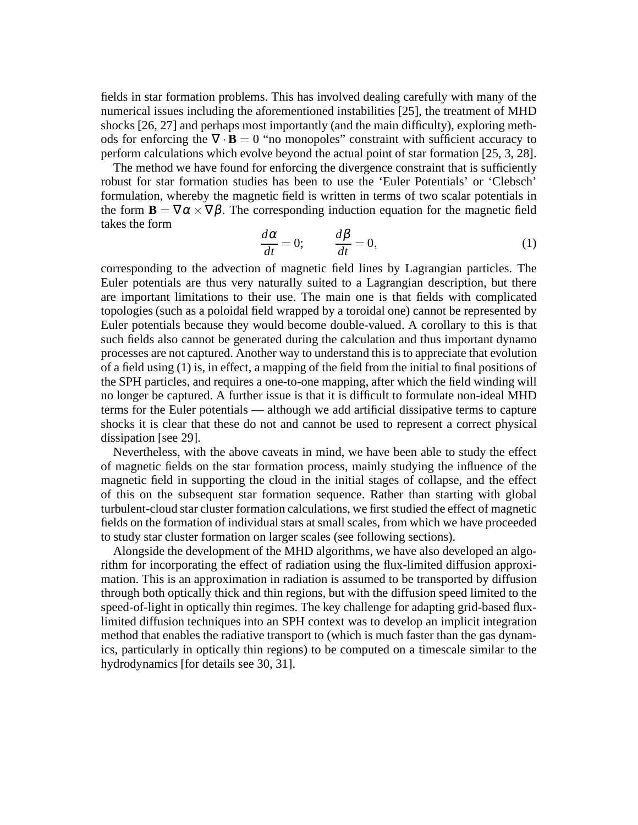fields in star formation problems. This has involved dealing carefully with many of the numerical issues including the aforementioned instabilities [25], the treatment of MHD shocks [26, 27] and perhaps most importantly (and the main difficulty), exploring methods for enforcing the  $\nabla \cdot \mathbf{B} = 0$  "no monopoles" constraint with sufficient accuracy to perform calculations which evolve beyond the actual point of star formation [25, 3, 28].

The method we have found for enforcing the divergence constraint that is sufficiently robust for star formation studies has been to use the 'Euler Potentials' or 'Clebsch' formulation, whereby the magnetic field is written in terms of two scalar potentials in the form  $\mathbf{B} = \nabla \alpha \times \nabla \beta$ . The corresponding induction equation for the magnetic field takes the form

$$
\frac{d\alpha}{dt} = 0; \qquad \frac{d\beta}{dt} = 0,\tag{1}
$$

corresponding to the advection of magnetic field lines by Lagrangian particles. The Euler potentials are thus very naturally suited to a Lagrangian description, but there are important limitations to their use. The main one is that fields with complicated topologies (such as a poloidal field wrapped by a toroidal one) cannot be represented by Euler potentials because they would become double-valued. A corollary to this is that such fields also cannot be generated during the calculation and thus important dynamo processes are not captured. Another way to understand this is to appreciate that evolution of a field using (1) is, in effect, a mapping of the field from the initial to final positions of the SPH particles, and requires a one-to-one mapping, after which the field winding will no longer be captured. A further issue is that it is difficult to formulate non-ideal MHD terms for the Euler potentials — although we add artificial dissipative terms to capture shocks it is clear that these do not and cannot be used to represent a correct physical dissipation [see 29].

Nevertheless, with the above caveats in mind, we have been able to study the effect of magnetic fields on the star formation process, mainly studying the influence of the magnetic field in supporting the cloud in the initial stages of collapse, and the effect of this on the subsequent star formation sequence. Rather than starting with global turbulent-cloud star cluster formation calculations, we first studied the effect of magnetic fields on the formation of individual stars at small scales, from which we have proceeded to study star cluster formation on larger scales (see following sections).

Alongside the development of the MHD algorithms, we have also developed an algorithm for incorporating the effect of radiation using the flux-limited diffusion approximation. This is an approximation in radiation is assumed to be transported by diffusion through both optically thick and thin regions, but with the diffusion speed limited to the speed-of-light in optically thin regimes. The key challenge for adapting grid-based fluxlimited diffusion techniques into an SPH context was to develop an implicit integration method that enables the radiative transport to (which is much faster than the gas dynamics, particularly in optically thin regions) to be computed on a timescale similar to the hydrodynamics [for details see 30, 31].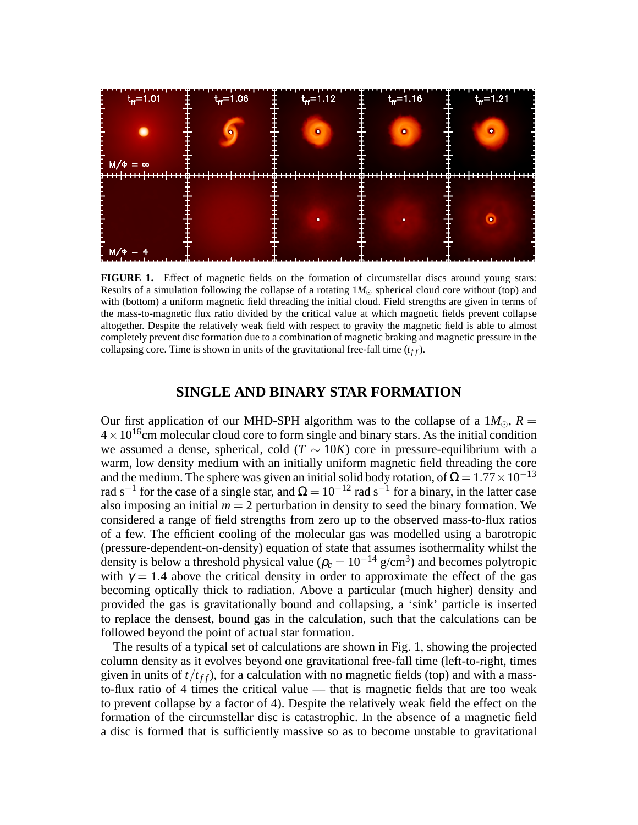

**FIGURE 1.** Effect of magnetic fields on the formation of circumstellar discs around young stars: Results of a simulation following the collapse of a rotating  $1M_{\odot}$  spherical cloud core without (top) and with (bottom) a uniform magnetic field threading the initial cloud. Field strengths are given in terms of the mass-to-magnetic flux ratio divided by the critical value at which magnetic fields prevent collapse altogether. Despite the relatively weak field with respect to gravity the magnetic field is able to almost completely prevent disc formation due to a combination of magnetic braking and magnetic pressure in the collapsing core. Time is shown in units of the gravitational free-fall time  $(t_{ff})$ .

## **SINGLE AND BINARY STAR FORMATION**

Our first application of our MHD-SPH algorithm was to the collapse of a  $1M_{\odot}$ ,  $R =$  $4 \times 10^{16}$ cm molecular cloud core to form single and binary stars. As the initial condition we assumed a dense, spherical, cold  $(T \sim 10K)$  core in pressure-equilibrium with a warm, low density medium with an initially uniform magnetic field threading the core and the medium. The sphere was given an initial solid body rotation, of  $\Omega = 1.77 \times 10^{-13}$ rad s<sup>-1</sup> for the case of a single star, and  $\Omega = 10^{-12}$  rad s<sup>-1</sup> for a binary, in the latter case also imposing an initial  $m = 2$  perturbation in density to seed the binary formation. We considered a range of field strengths from zero up to the observed mass-to-flux ratios of a few. The efficient cooling of the molecular gas was modelled using a barotropic (pressure-dependent-on-density) equation of state that assumes isothermality whilst the density is below a threshold physical value ( $\rho_c = 10^{-14}$  g/cm<sup>3</sup>) and becomes polytropic with  $\gamma = 1.4$  above the critical density in order to approximate the effect of the gas becoming optically thick to radiation. Above a particular (much higher) density and provided the gas is gravitationally bound and collapsing, a 'sink' particle is inserted to replace the densest, bound gas in the calculation, such that the calculations can be followed beyond the point of actual star formation.

The results of a typical set of calculations are shown in Fig. 1, showing the projected column density as it evolves beyond one gravitational free-fall time (left-to-right, times given in units of  $t/t_{ff}$ ), for a calculation with no magnetic fields (top) and with a massto-flux ratio of 4 times the critical value — that is magnetic fields that are too weak to prevent collapse by a factor of 4). Despite the relatively weak field the effect on the formation of the circumstellar disc is catastrophic. In the absence of a magnetic field a disc is formed that is sufficiently massive so as to become unstable to gravitational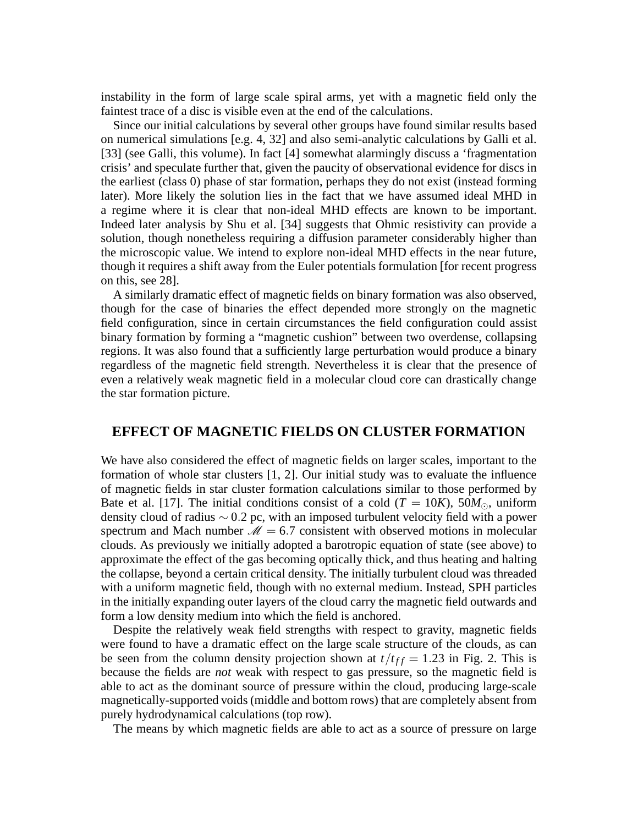instability in the form of large scale spiral arms, yet with a magnetic field only the faintest trace of a disc is visible even at the end of the calculations.

Since our initial calculations by several other groups have found similar results based on numerical simulations [e.g. 4, 32] and also semi-analytic calculations by Galli et al. [33] (see Galli, this volume). In fact [4] somewhat alarmingly discuss a 'fragmentation crisis' and speculate further that, given the paucity of observational evidence for discs in the earliest (class 0) phase of star formation, perhaps they do not exist (instead forming later). More likely the solution lies in the fact that we have assumed ideal MHD in a regime where it is clear that non-ideal MHD effects are known to be important. Indeed later analysis by Shu et al. [34] suggests that Ohmic resistivity can provide a solution, though nonetheless requiring a diffusion parameter considerably higher than the microscopic value. We intend to explore non-ideal MHD effects in the near future, though it requires a shift away from the Euler potentials formulation [for recent progress on this, see 28].

A similarly dramatic effect of magnetic fields on binary formation was also observed, though for the case of binaries the effect depended more strongly on the magnetic field configuration, since in certain circumstances the field configuration could assist binary formation by forming a "magnetic cushion" between two overdense, collapsing regions. It was also found that a sufficiently large perturbation would produce a binary regardless of the magnetic field strength. Nevertheless it is clear that the presence of even a relatively weak magnetic field in a molecular cloud core can drastically change the star formation picture.

#### **EFFECT OF MAGNETIC FIELDS ON CLUSTER FORMATION**

We have also considered the effect of magnetic fields on larger scales, important to the formation of whole star clusters [1, 2]. Our initial study was to evaluate the influence of magnetic fields in star cluster formation calculations similar to those performed by Bate et al. [17]. The initial conditions consist of a cold ( $T = 10K$ ),  $50M_{\odot}$ , uniform density cloud of radius ∼ 0.2 pc, with an imposed turbulent velocity field with a power spectrum and Mach number  $\mathcal{M} = 6.7$  consistent with observed motions in molecular clouds. As previously we initially adopted a barotropic equation of state (see above) to approximate the effect of the gas becoming optically thick, and thus heating and halting the collapse, beyond a certain critical density. The initially turbulent cloud was threaded with a uniform magnetic field, though with no external medium. Instead, SPH particles in the initially expanding outer layers of the cloud carry the magnetic field outwards and form a low density medium into which the field is anchored.

Despite the relatively weak field strengths with respect to gravity, magnetic fields were found to have a dramatic effect on the large scale structure of the clouds, as can be seen from the column density projection shown at  $t/t_{ff} = 1.23$  in Fig. 2. This is because the fields are *not* weak with respect to gas pressure, so the magnetic field is able to act as the dominant source of pressure within the cloud, producing large-scale magnetically-supported voids (middle and bottom rows) that are completely absent from purely hydrodynamical calculations (top row).

The means by which magnetic fields are able to act as a source of pressure on large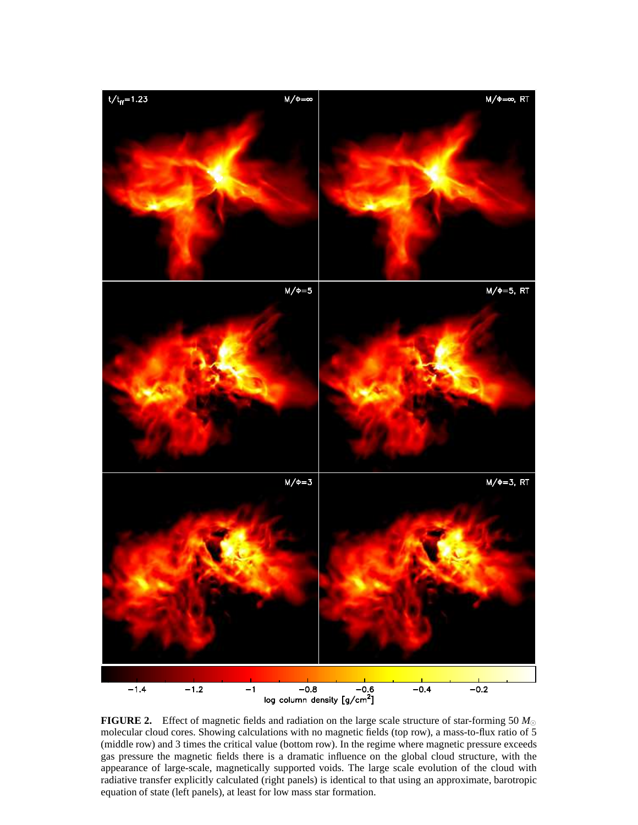

**FIGURE 2.** Effect of magnetic fields and radiation on the large scale structure of star-forming 50 *M*⊙ molecular cloud cores. Showing calculations with no magnetic fields (top row), a mass-to-flux ratio of 5 (middle row) and 3 times the critical value (bottom row). In the regime where magnetic pressure exceeds gas pressure the magnetic fields there is a dramatic influence on the global cloud structure, with the appearance of large-scale, magnetically supported voids. The large scale evolution of the cloud with radiative transfer explicitly calculated (right panels) is identical to that using an approximate, barotropic equation of state (left panels), at least for low mass star formation.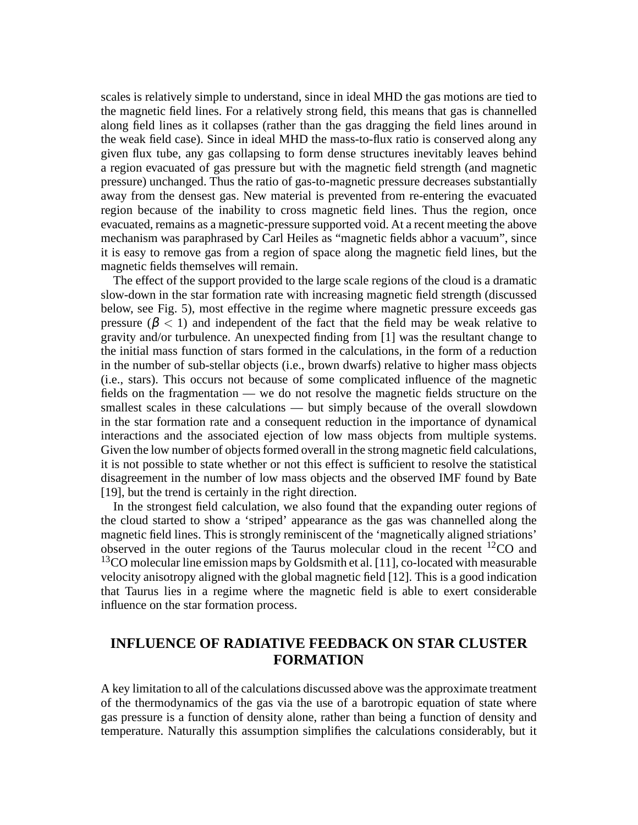scales is relatively simple to understand, since in ideal MHD the gas motions are tied to the magnetic field lines. For a relatively strong field, this means that gas is channelled along field lines as it collapses (rather than the gas dragging the field lines around in the weak field case). Since in ideal MHD the mass-to-flux ratio is conserved along any given flux tube, any gas collapsing to form dense structures inevitably leaves behind a region evacuated of gas pressure but with the magnetic field strength (and magnetic pressure) unchanged. Thus the ratio of gas-to-magnetic pressure decreases substantially away from the densest gas. New material is prevented from re-entering the evacuated region because of the inability to cross magnetic field lines. Thus the region, once evacuated, remains as a magnetic-pressure supported void. At a recent meeting the above mechanism was paraphrased by Carl Heiles as "magnetic fields abhor a vacuum", since it is easy to remove gas from a region of space along the magnetic field lines, but the magnetic fields themselves will remain.

The effect of the support provided to the large scale regions of the cloud is a dramatic slow-down in the star formation rate with increasing magnetic field strength (discussed below, see Fig. 5), most effective in the regime where magnetic pressure exceeds gas pressure ( $\beta$  < 1) and independent of the fact that the field may be weak relative to gravity and/or turbulence. An unexpected finding from [1] was the resultant change to the initial mass function of stars formed in the calculations, in the form of a reduction in the number of sub-stellar objects (i.e., brown dwarfs) relative to higher mass objects (i.e., stars). This occurs not because of some complicated influence of the magnetic fields on the fragmentation — we do not resolve the magnetic fields structure on the smallest scales in these calculations — but simply because of the overall slowdown in the star formation rate and a consequent reduction in the importance of dynamical interactions and the associated ejection of low mass objects from multiple systems. Given the low number of objects formed overall in the strong magnetic field calculations, it is not possible to state whether or not this effect is sufficient to resolve the statistical disagreement in the number of low mass objects and the observed IMF found by Bate [19], but the trend is certainly in the right direction.

In the strongest field calculation, we also found that the expanding outer regions of the cloud started to show a 'striped' appearance as the gas was channelled along the magnetic field lines. This is strongly reminiscent of the 'magnetically aligned striations' observed in the outer regions of the Taurus molecular cloud in the recent  ${}^{12}CO$  and  $13$ CO molecular line emission maps by Goldsmith et al. [11], co-located with measurable velocity anisotropy aligned with the global magnetic field [12]. This is a good indication that Taurus lies in a regime where the magnetic field is able to exert considerable influence on the star formation process.

# **INFLUENCE OF RADIATIVE FEEDBACK ON STAR CLUSTER FORMATION**

A key limitation to all of the calculations discussed above was the approximate treatment of the thermodynamics of the gas via the use of a barotropic equation of state where gas pressure is a function of density alone, rather than being a function of density and temperature. Naturally this assumption simplifies the calculations considerably, but it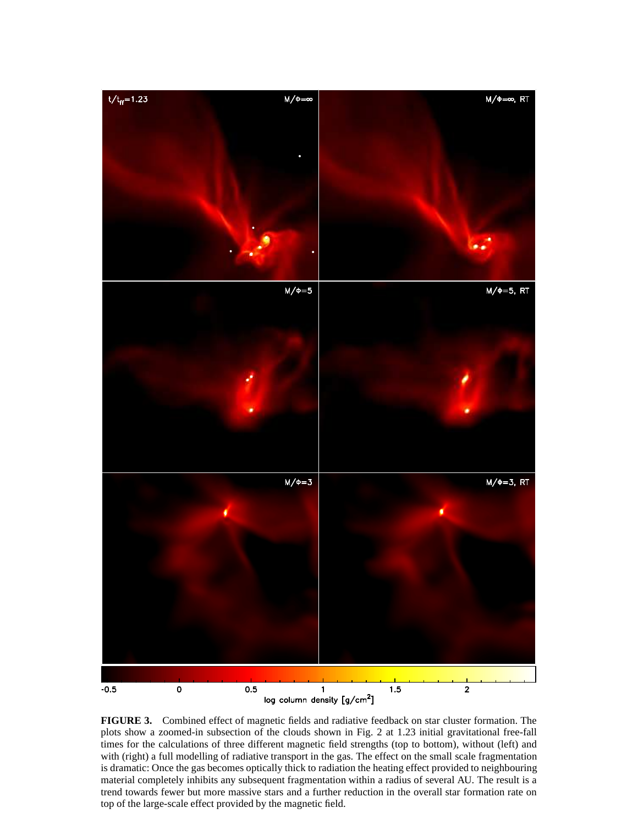

**FIGURE 3.** Combined effect of magnetic fields and radiative feedback on star cluster formation. The plots show a zoomed-in subsection of the clouds shown in Fig. 2 at 1.23 initial gravitational free-fall times for the calculations of three different magnetic field strengths (top to bottom), without (left) and with (right) a full modelling of radiative transport in the gas. The effect on the small scale fragmentation is dramatic: Once the gas becomes optically thick to radiation the heating effect provided to neighbouring material completely inhibits any subsequent fragmentation within a radius of several AU. The result is a trend towards fewer but more massive stars and a further reduction in the overall star formation rate on top of the large-scale effect provided by the magnetic field.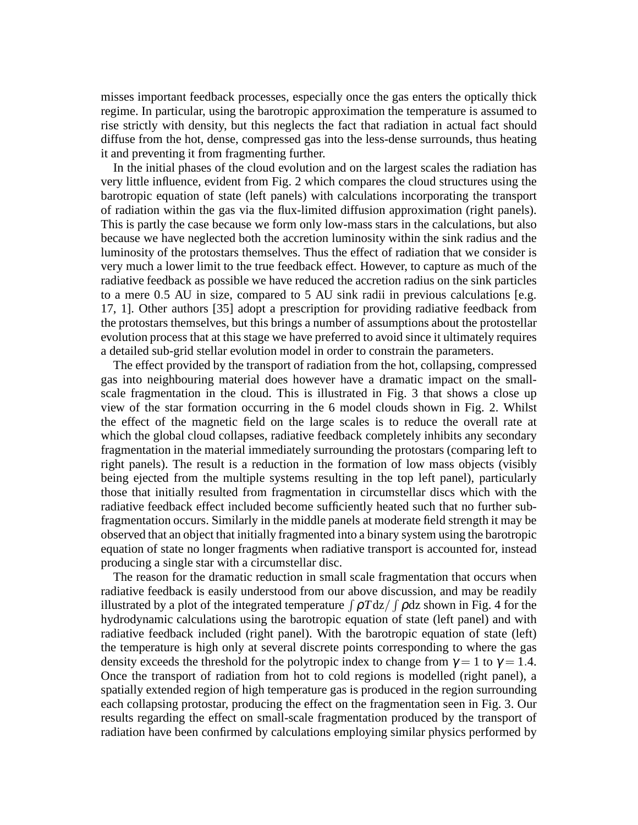misses important feedback processes, especially once the gas enters the optically thick regime. In particular, using the barotropic approximation the temperature is assumed to rise strictly with density, but this neglects the fact that radiation in actual fact should diffuse from the hot, dense, compressed gas into the less-dense surrounds, thus heating it and preventing it from fragmenting further.

In the initial phases of the cloud evolution and on the largest scales the radiation has very little influence, evident from Fig. 2 which compares the cloud structures using the barotropic equation of state (left panels) with calculations incorporating the transport of radiation within the gas via the flux-limited diffusion approximation (right panels). This is partly the case because we form only low-mass stars in the calculations, but also because we have neglected both the accretion luminosity within the sink radius and the luminosity of the protostars themselves. Thus the effect of radiation that we consider is very much a lower limit to the true feedback effect. However, to capture as much of the radiative feedback as possible we have reduced the accretion radius on the sink particles to a mere 0.5 AU in size, compared to 5 AU sink radii in previous calculations [e.g. 17, 1]. Other authors [35] adopt a prescription for providing radiative feedback from the protostars themselves, but this brings a number of assumptions about the protostellar evolution process that at this stage we have preferred to avoid since it ultimately requires a detailed sub-grid stellar evolution model in order to constrain the parameters.

The effect provided by the transport of radiation from the hot, collapsing, compressed gas into neighbouring material does however have a dramatic impact on the smallscale fragmentation in the cloud. This is illustrated in Fig. 3 that shows a close up view of the star formation occurring in the 6 model clouds shown in Fig. 2. Whilst the effect of the magnetic field on the large scales is to reduce the overall rate at which the global cloud collapses, radiative feedback completely inhibits any secondary fragmentation in the material immediately surrounding the protostars (comparing left to right panels). The result is a reduction in the formation of low mass objects (visibly being ejected from the multiple systems resulting in the top left panel), particularly those that initially resulted from fragmentation in circumstellar discs which with the radiative feedback effect included become sufficiently heated such that no further subfragmentation occurs. Similarly in the middle panels at moderate field strength it may be observed that an object that initially fragmented into a binary system using the barotropic equation of state no longer fragments when radiative transport is accounted for, instead producing a single star with a circumstellar disc.

The reason for the dramatic reduction in small scale fragmentation that occurs when radiative feedback is easily understood from our above discussion, and may be readily illustrated by a plot of the integrated temperature  $\int \rho T dz / \int \rho dz$  shown in Fig. 4 for the hydrodynamic calculations using the barotropic equation of state (left panel) and with radiative feedback included (right panel). With the barotropic equation of state (left) the temperature is high only at several discrete points corresponding to where the gas density exceeds the threshold for the polytropic index to change from  $\gamma = 1$  to  $\gamma = 1.4$ . Once the transport of radiation from hot to cold regions is modelled (right panel), a spatially extended region of high temperature gas is produced in the region surrounding each collapsing protostar, producing the effect on the fragmentation seen in Fig. 3. Our results regarding the effect on small-scale fragmentation produced by the transport of radiation have been confirmed by calculations employing similar physics performed by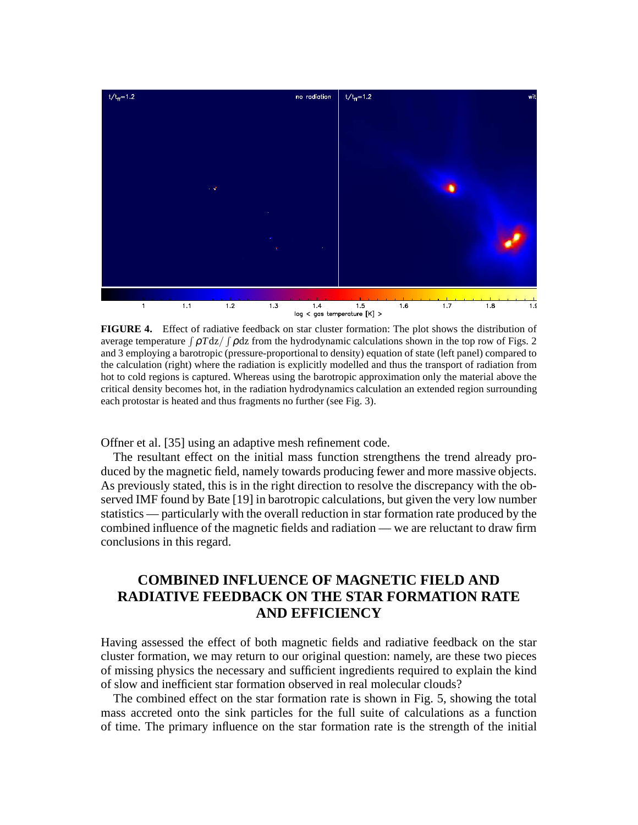

**FIGURE 4.** Effect of radiative feedback on star cluster formation: The plot shows the distribution of average temperature  $\int \rho T dz / \int \rho dz$  from the hydrodynamic calculations shown in the top row of Figs. 2 and 3 employing a barotropic (pressure-proportional to density) equation of state (left panel) compared to the calculation (right) where the radiation is explicitly modelled and thus the transport of radiation from hot to cold regions is captured. Whereas using the barotropic approximation only the material above the critical density becomes hot, in the radiation hydrodynamics calculation an extended region surrounding each protostar is heated and thus fragments no further (see Fig. 3).

Offner et al. [35] using an adaptive mesh refinement code.

The resultant effect on the initial mass function strengthens the trend already produced by the magnetic field, namely towards producing fewer and more massive objects. As previously stated, this is in the right direction to resolve the discrepancy with the observed IMF found by Bate [19] in barotropic calculations, but given the very low number statistics — particularly with the overall reduction in star formation rate produced by the combined influence of the magnetic fields and radiation — we are reluctant to draw firm conclusions in this regard.

# **COMBINED INFLUENCE OF MAGNETIC FIELD AND RADIATIVE FEEDBACK ON THE STAR FORMATION RATE AND EFFICIENCY**

Having assessed the effect of both magnetic fields and radiative feedback on the star cluster formation, we may return to our original question: namely, are these two pieces of missing physics the necessary and sufficient ingredients required to explain the kind of slow and inefficient star formation observed in real molecular clouds?

The combined effect on the star formation rate is shown in Fig. 5, showing the total mass accreted onto the sink particles for the full suite of calculations as a function of time. The primary influence on the star formation rate is the strength of the initial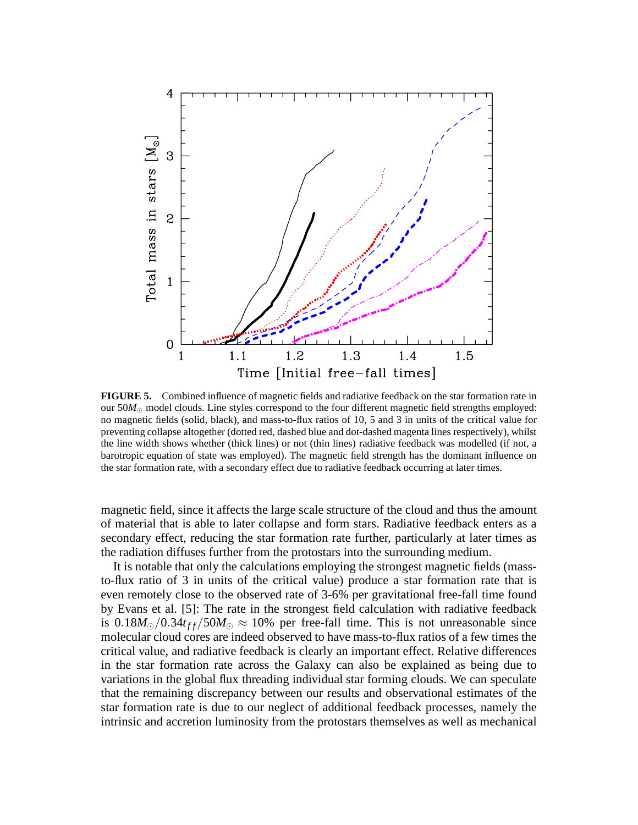

**FIGURE 5.** Combined influence of magnetic fields and radiative feedback on the star formation rate in our 50*M*⊙ model clouds. Line styles correspond to the four different magnetic field strengths employed: no magnetic fields (solid, black), and mass-to-flux ratios of 10, 5 and 3 in units of the critical value for preventing collapse altogether (dotted red, dashed blue and dot-dashed magenta lines respectively), whilst the line width shows whether (thick lines) or not (thin lines) radiative feedback was modelled (if not, a barotropic equation of state was employed). The magnetic field strength has the dominant influence on the star formation rate, with a secondary effect due to radiative feedback occurring at later times.

magnetic field, since it affects the large scale structure of the cloud and thus the amount of material that is able to later collapse and form stars. Radiative feedback enters as a secondary effect, reducing the star formation rate further, particularly at later times as the radiation diffuses further from the protostars into the surrounding medium.

It is notable that only the calculations employing the strongest magnetic fields (massto-flux ratio of 3 in units of the critical value) produce a star formation rate that is even remotely close to the observed rate of 3-6% per gravitational free-fall time found by Evans et al. [5]: The rate in the strongest field calculation with radiative feedback is  $0.18M_{\odot}/0.34t_{ff}/50M_{\odot} \approx 10\%$  per free-fall time. This is not unreasonable since molecular cloud cores are indeed observed to have mass-to-flux ratios of a few times the critical value, and radiative feedback is clearly an important effect. Relative differences in the star formation rate across the Galaxy can also be explained as being due to variations in the global flux threading individual star forming clouds. We can speculate that the remaining discrepancy between our results and observational estimates of the star formation rate is due to our neglect of additional feedback processes, namely the intrinsic and accretion luminosity from the protostars themselves as well as mechanical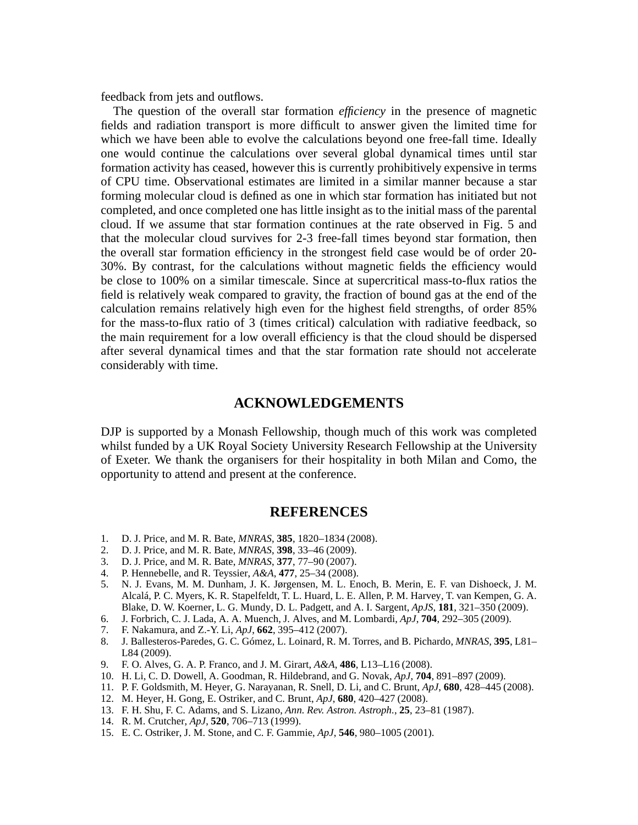feedback from jets and outflows.

The question of the overall star formation *efficiency* in the presence of magnetic fields and radiation transport is more difficult to answer given the limited time for which we have been able to evolve the calculations beyond one free-fall time. Ideally one would continue the calculations over several global dynamical times until star formation activity has ceased, however this is currently prohibitively expensive in terms of CPU time. Observational estimates are limited in a similar manner because a star forming molecular cloud is defined as one in which star formation has initiated but not completed, and once completed one has little insight as to the initial mass of the parental cloud. If we assume that star formation continues at the rate observed in Fig. 5 and that the molecular cloud survives for 2-3 free-fall times beyond star formation, then the overall star formation efficiency in the strongest field case would be of order 20- 30%. By contrast, for the calculations without magnetic fields the efficiency would be close to 100% on a similar timescale. Since at supercritical mass-to-flux ratios the field is relatively weak compared to gravity, the fraction of bound gas at the end of the calculation remains relatively high even for the highest field strengths, of order 85% for the mass-to-flux ratio of 3 (times critical) calculation with radiative feedback, so the main requirement for a low overall efficiency is that the cloud should be dispersed after several dynamical times and that the star formation rate should not accelerate considerably with time.

## **ACKNOWLEDGEMENTS**

DJP is supported by a Monash Fellowship, though much of this work was completed whilst funded by a UK Royal Society University Research Fellowship at the University of Exeter. We thank the organisers for their hospitality in both Milan and Como, the opportunity to attend and present at the conference.

#### **REFERENCES**

- 1. D. J. Price, and M. R. Bate, *MNRAS*, **385**, 1820–1834 (2008).
- 2. D. J. Price, and M. R. Bate, *MNRAS*, **398**, 33–46 (2009).
- 3. D. J. Price, and M. R. Bate, *MNRAS*, **377**, 77–90 (2007).
- 4. P. Hennebelle, and R. Teyssier, *A&A*, **477**, 25–34 (2008).
- 5. N. J. Evans, M. M. Dunham, J. K. Jørgensen, M. L. Enoch, B. Merin, E. F. van Dishoeck, J. M. Alcalá, P. C. Myers, K. R. Stapelfeldt, T. L. Huard, L. E. Allen, P. M. Harvey, T. van Kempen, G. A. Blake, D. W. Koerner, L. G. Mundy, D. L. Padgett, and A. I. Sargent, *ApJS*, **181**, 321–350 (2009).
- 6. J. Forbrich, C. J. Lada, A. A. Muench, J. Alves, and M. Lombardi, *ApJ*, **704**, 292–305 (2009).
- 7. F. Nakamura, and Z.-Y. Li, *ApJ*, **662**, 395–412 (2007).
- 8. J. Ballesteros-Paredes, G. C. Gómez, L. Loinard, R. M. Torres, and B. Pichardo, *MNRAS*, **395**, L81– L84 (2009).
- 9. F. O. Alves, G. A. P. Franco, and J. M. Girart, *A&A*, **486**, L13–L16 (2008).
- 10. H. Li, C. D. Dowell, A. Goodman, R. Hildebrand, and G. Novak, *ApJ*, **704**, 891–897 (2009).
- 11. P. F. Goldsmith, M. Heyer, G. Narayanan, R. Snell, D. Li, and C. Brunt, *ApJ*, **680**, 428–445 (2008).
- 12. M. Heyer, H. Gong, E. Ostriker, and C. Brunt, *ApJ*, **680**, 420–427 (2008).
- 13. F. H. Shu, F. C. Adams, and S. Lizano, *Ann. Rev. Astron. Astroph.*, **25**, 23–81 (1987).
- 14. R. M. Crutcher, *ApJ*, **520**, 706–713 (1999).
- 15. E. C. Ostriker, J. M. Stone, and C. F. Gammie, *ApJ*, **546**, 980–1005 (2001).